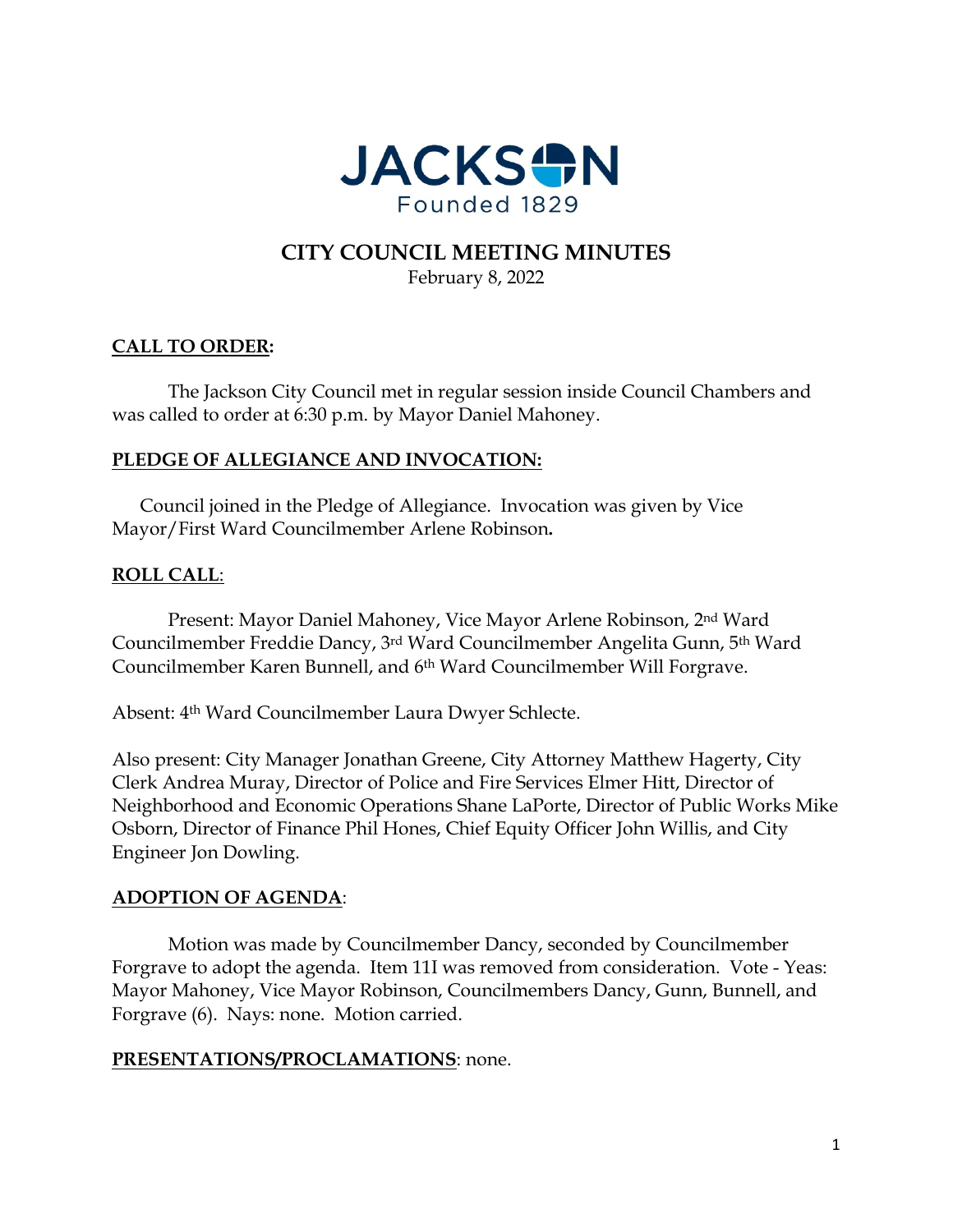

# **CITY COUNCIL MEETING MINUTES**

February 8, 2022

# **CALL TO ORDER:**

The Jackson City Council met in regular session inside Council Chambers and was called to order at 6:30 p.m. by Mayor Daniel Mahoney.

# **PLEDGE OF ALLEGIANCE AND INVOCATION:**

Council joined in the Pledge of Allegiance. Invocation was given by Vice Mayor/First Ward Councilmember Arlene Robinson**.**

# **ROLL CALL**:

Present: Mayor Daniel Mahoney, Vice Mayor Arlene Robinson, 2nd Ward Councilmember Freddie Dancy, 3rd Ward Councilmember Angelita Gunn, 5th Ward Councilmember Karen Bunnell, and 6th Ward Councilmember Will Forgrave.

Absent: 4th Ward Councilmember Laura Dwyer Schlecte.

Also present: City Manager Jonathan Greene, City Attorney Matthew Hagerty, City Clerk Andrea Muray, Director of Police and Fire Services Elmer Hitt, Director of Neighborhood and Economic Operations Shane LaPorte, Director of Public Works Mike Osborn, Director of Finance Phil Hones, Chief Equity Officer John Willis, and City Engineer Jon Dowling.

# **ADOPTION OF AGENDA**:

Motion was made by Councilmember Dancy, seconded by Councilmember Forgrave to adopt the agenda. Item 11I was removed from consideration. Vote - Yeas: Mayor Mahoney, Vice Mayor Robinson, Councilmembers Dancy, Gunn, Bunnell, and Forgrave (6). Nays: none. Motion carried.

#### **PRESENTATIONS/PROCLAMATIONS**: none.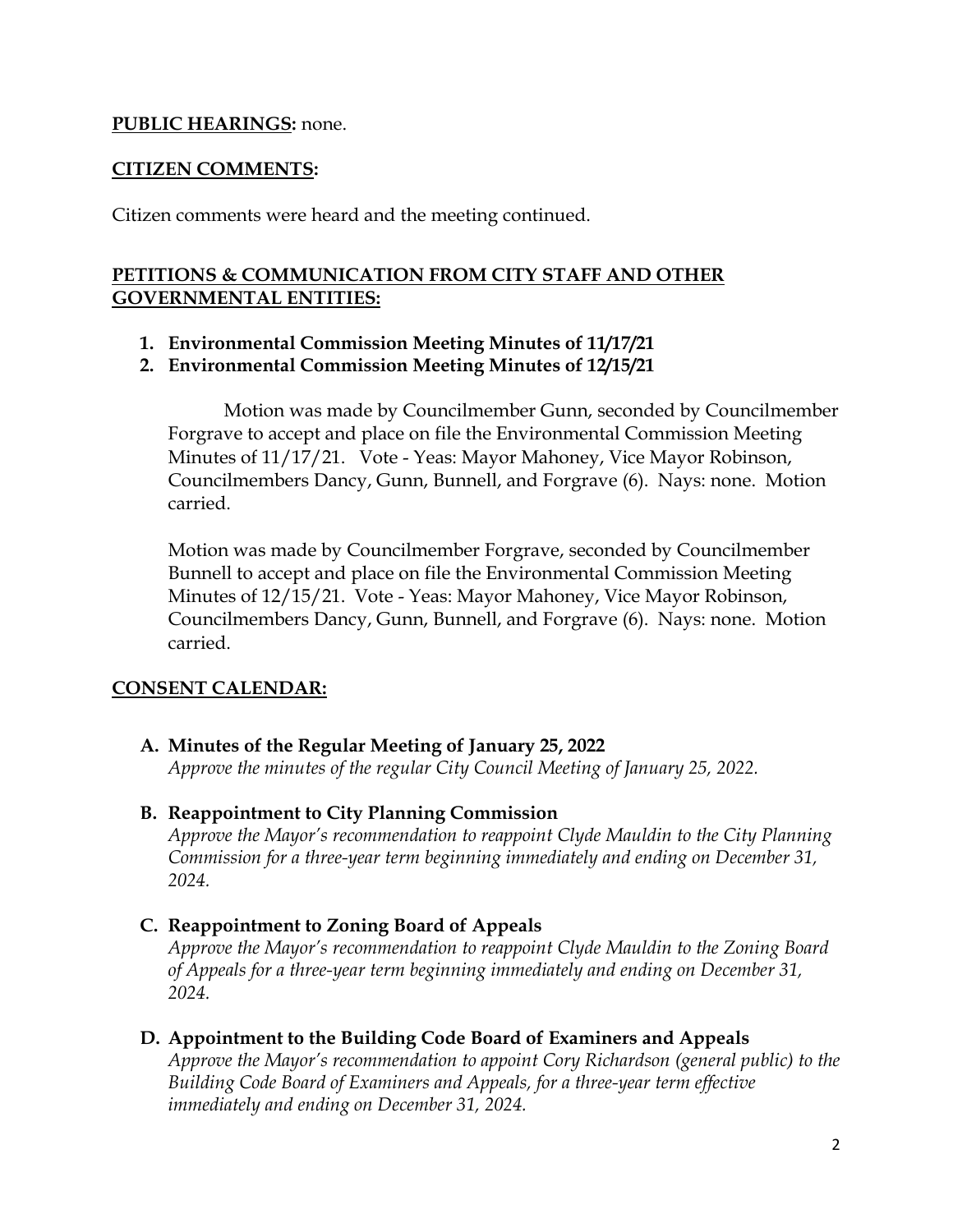#### **PUBLIC HEARINGS:** none.

#### **CITIZEN COMMENTS:**

Citizen comments were heard and the meeting continued.

# **PETITIONS & COMMUNICATION FROM CITY STAFF AND OTHER GOVERNMENTAL ENTITIES:**

- **1. Environmental Commission Meeting Minutes of 11/17/21**
- **2. Environmental Commission Meeting Minutes of 12/15/21**

Motion was made by Councilmember Gunn, seconded by Councilmember Forgrave to accept and place on file the Environmental Commission Meeting Minutes of 11/17/21. Vote - Yeas: Mayor Mahoney, Vice Mayor Robinson, Councilmembers Dancy, Gunn, Bunnell, and Forgrave (6). Nays: none. Motion carried.

Motion was made by Councilmember Forgrave, seconded by Councilmember Bunnell to accept and place on file the Environmental Commission Meeting Minutes of 12/15/21. Vote - Yeas: Mayor Mahoney, Vice Mayor Robinson, Councilmembers Dancy, Gunn, Bunnell, and Forgrave (6). Nays: none. Motion carried.

#### **CONSENT CALENDAR:**

**A. Minutes of the Regular Meeting of January 25, 2022** *Approve the minutes of the regular City Council Meeting of January 25, 2022.* 

#### **B. Reappointment to City Planning Commission**

*Approve the Mayor's recommendation to reappoint Clyde Mauldin to the City Planning Commission for a three-year term beginning immediately and ending on December 31, 2024.* 

**C. Reappointment to Zoning Board of Appeals**

*Approve the Mayor's recommendation to reappoint Clyde Mauldin to the Zoning Board of Appeals for a three-year term beginning immediately and ending on December 31, 2024.*

#### **D. Appointment to the Building Code Board of Examiners and Appeals**

*Approve the Mayor's recommendation to appoint Cory Richardson (general public) to the Building Code Board of Examiners and Appeals, for a three-year term effective immediately and ending on December 31, 2024.*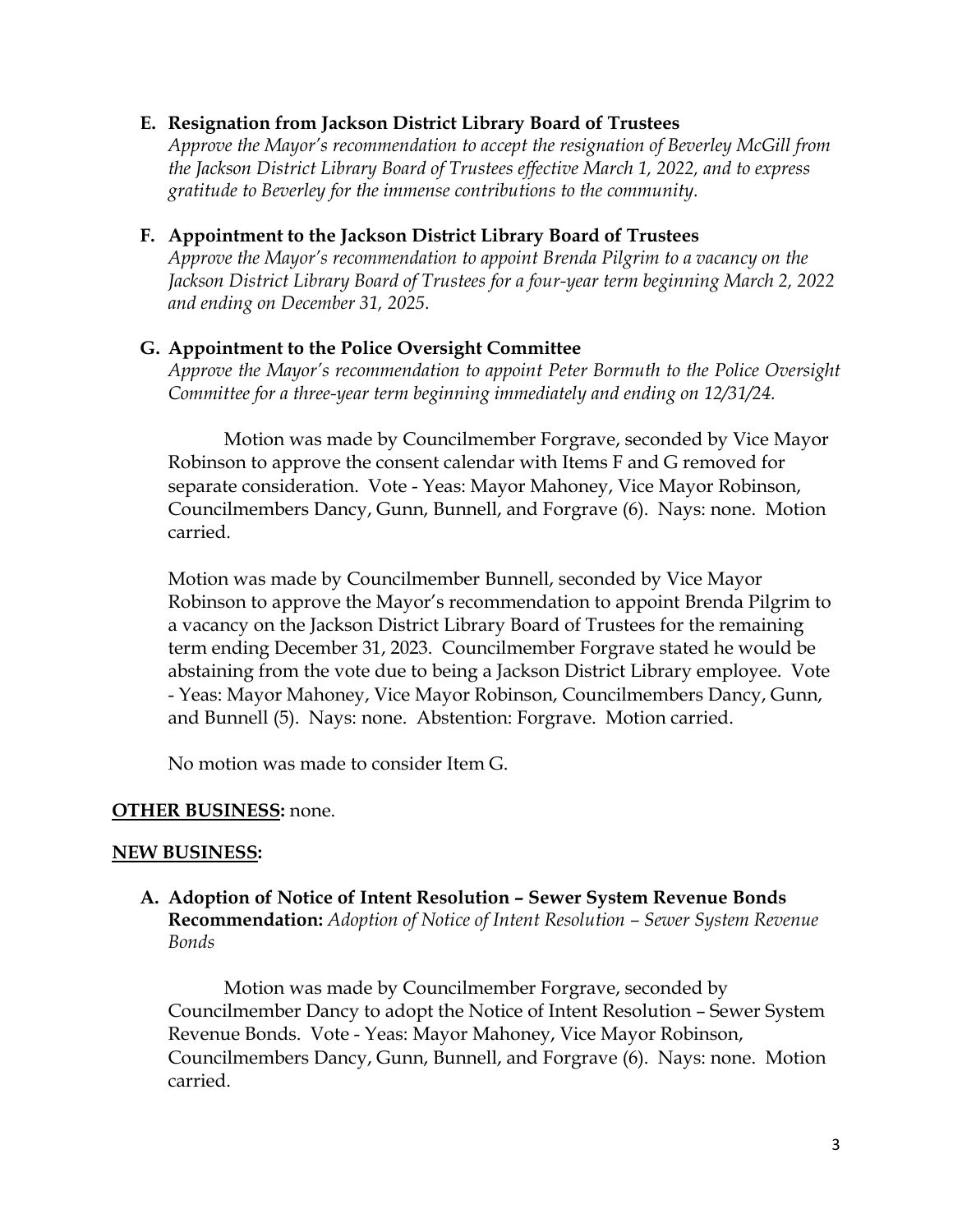#### **E. Resignation from Jackson District Library Board of Trustees**

*Approve the Mayor's recommendation to accept the resignation of Beverley McGill from the Jackson District Library Board of Trustees effective March 1, 2022, and to express gratitude to Beverley for the immense contributions to the community.*

#### **F. Appointment to the Jackson District Library Board of Trustees**

*Approve the Mayor's recommendation to appoint Brenda Pilgrim to a vacancy on the Jackson District Library Board of Trustees for a four-year term beginning March 2, 2022 and ending on December 31, 2025.* 

#### **G. Appointment to the Police Oversight Committee**

*Approve the Mayor's recommendation to appoint Peter Bormuth to the Police Oversight Committee for a three-year term beginning immediately and ending on 12/31/24.* 

Motion was made by Councilmember Forgrave, seconded by Vice Mayor Robinson to approve the consent calendar with Items F and G removed for separate consideration. Vote - Yeas: Mayor Mahoney, Vice Mayor Robinson, Councilmembers Dancy, Gunn, Bunnell, and Forgrave (6). Nays: none. Motion carried.

Motion was made by Councilmember Bunnell, seconded by Vice Mayor Robinson to approve the Mayor's recommendation to appoint Brenda Pilgrim to a vacancy on the Jackson District Library Board of Trustees for the remaining term ending December 31, 2023. Councilmember Forgrave stated he would be abstaining from the vote due to being a Jackson District Library employee. Vote - Yeas: Mayor Mahoney, Vice Mayor Robinson, Councilmembers Dancy, Gunn, and Bunnell (5). Nays: none. Abstention: Forgrave. Motion carried.

No motion was made to consider Item G.

#### **OTHER BUSINESS:** none.

#### **NEW BUSINESS:**

**A. Adoption of Notice of Intent Resolution – Sewer System Revenue Bonds Recommendation:** *Adoption of Notice of Intent Resolution – Sewer System Revenue Bonds* 

Motion was made by Councilmember Forgrave, seconded by Councilmember Dancy to adopt the Notice of Intent Resolution – Sewer System Revenue Bonds. Vote - Yeas: Mayor Mahoney, Vice Mayor Robinson, Councilmembers Dancy, Gunn, Bunnell, and Forgrave (6). Nays: none. Motion carried.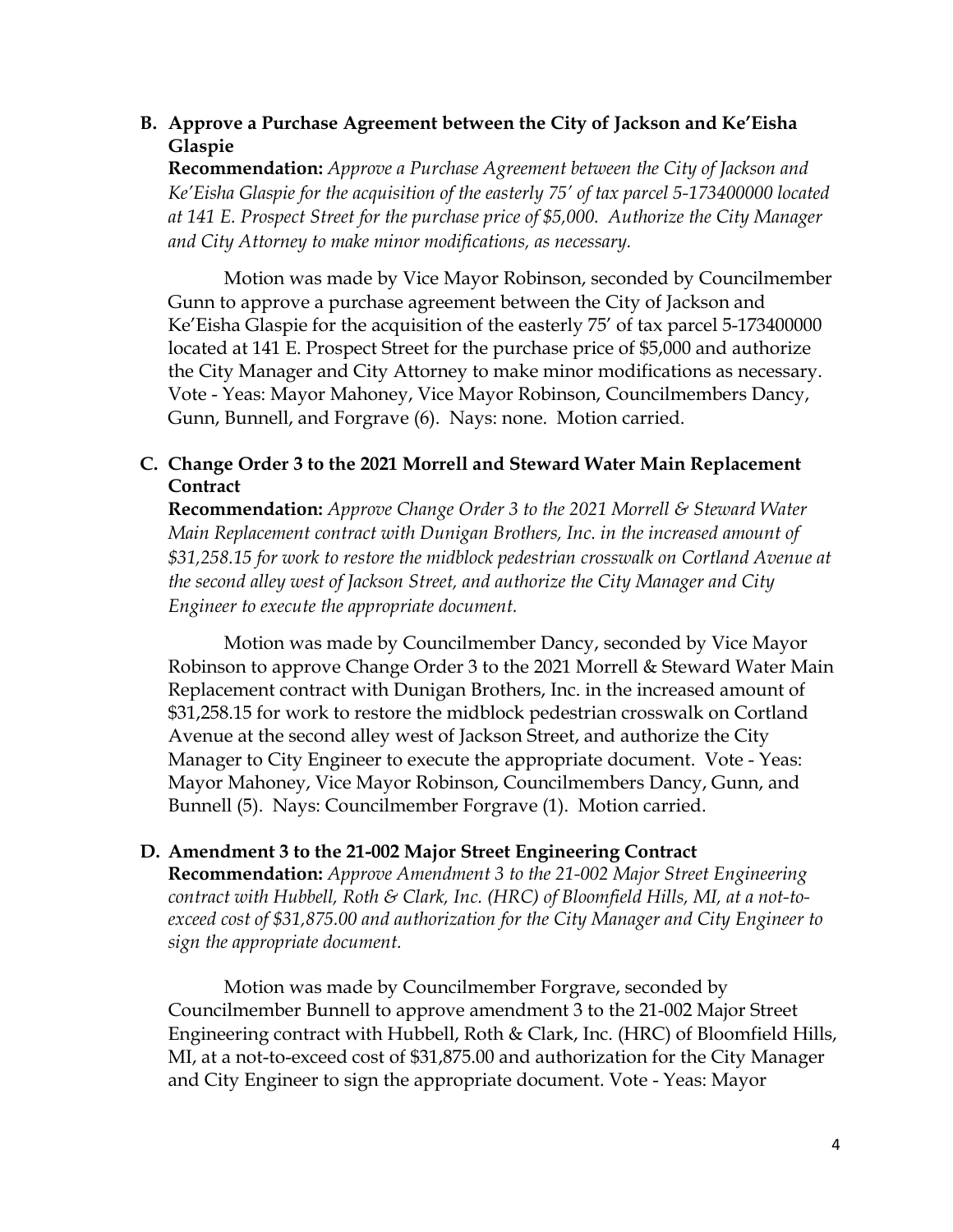# **B. Approve a Purchase Agreement between the City of Jackson and Ke'Eisha Glaspie**

**Recommendation:** *Approve a Purchase Agreement between the City of Jackson and Ke'Eisha Glaspie for the acquisition of the easterly 75' of tax parcel 5-173400000 located at 141 E. Prospect Street for the purchase price of \$5,000. Authorize the City Manager and City Attorney to make minor modifications, as necessary.* 

Motion was made by Vice Mayor Robinson, seconded by Councilmember Gunn to approve a purchase agreement between the City of Jackson and Ke'Eisha Glaspie for the acquisition of the easterly 75' of tax parcel 5-173400000 located at 141 E. Prospect Street for the purchase price of \$5,000 and authorize the City Manager and City Attorney to make minor modifications as necessary. Vote - Yeas: Mayor Mahoney, Vice Mayor Robinson, Councilmembers Dancy, Gunn, Bunnell, and Forgrave (6). Nays: none. Motion carried.

# **C. Change Order 3 to the 2021 Morrell and Steward Water Main Replacement Contract**

**Recommendation:** *Approve Change Order 3 to the 2021 Morrell & Steward Water Main Replacement contract with Dunigan Brothers, Inc. in the increased amount of \$31,258.15 for work to restore the midblock pedestrian crosswalk on Cortland Avenue at the second alley west of Jackson Street, and authorize the City Manager and City Engineer to execute the appropriate document.* 

Motion was made by Councilmember Dancy, seconded by Vice Mayor Robinson to approve Change Order 3 to the 2021 Morrell & Steward Water Main Replacement contract with Dunigan Brothers, Inc. in the increased amount of \$31,258.15 for work to restore the midblock pedestrian crosswalk on Cortland Avenue at the second alley west of Jackson Street, and authorize the City Manager to City Engineer to execute the appropriate document. Vote - Yeas: Mayor Mahoney, Vice Mayor Robinson, Councilmembers Dancy, Gunn, and Bunnell (5). Nays: Councilmember Forgrave (1). Motion carried.

# **D. Amendment 3 to the 21-002 Major Street Engineering Contract**

**Recommendation:** *Approve Amendment 3 to the 21-002 Major Street Engineering contract with Hubbell, Roth & Clark, Inc. (HRC) of Bloomfield Hills, MI, at a not-toexceed cost of \$31,875.00 and authorization for the City Manager and City Engineer to sign the appropriate document.* 

Motion was made by Councilmember Forgrave, seconded by Councilmember Bunnell to approve amendment 3 to the 21-002 Major Street Engineering contract with Hubbell, Roth & Clark, Inc. (HRC) of Bloomfield Hills, MI, at a not-to-exceed cost of \$31,875.00 and authorization for the City Manager and City Engineer to sign the appropriate document. Vote - Yeas: Mayor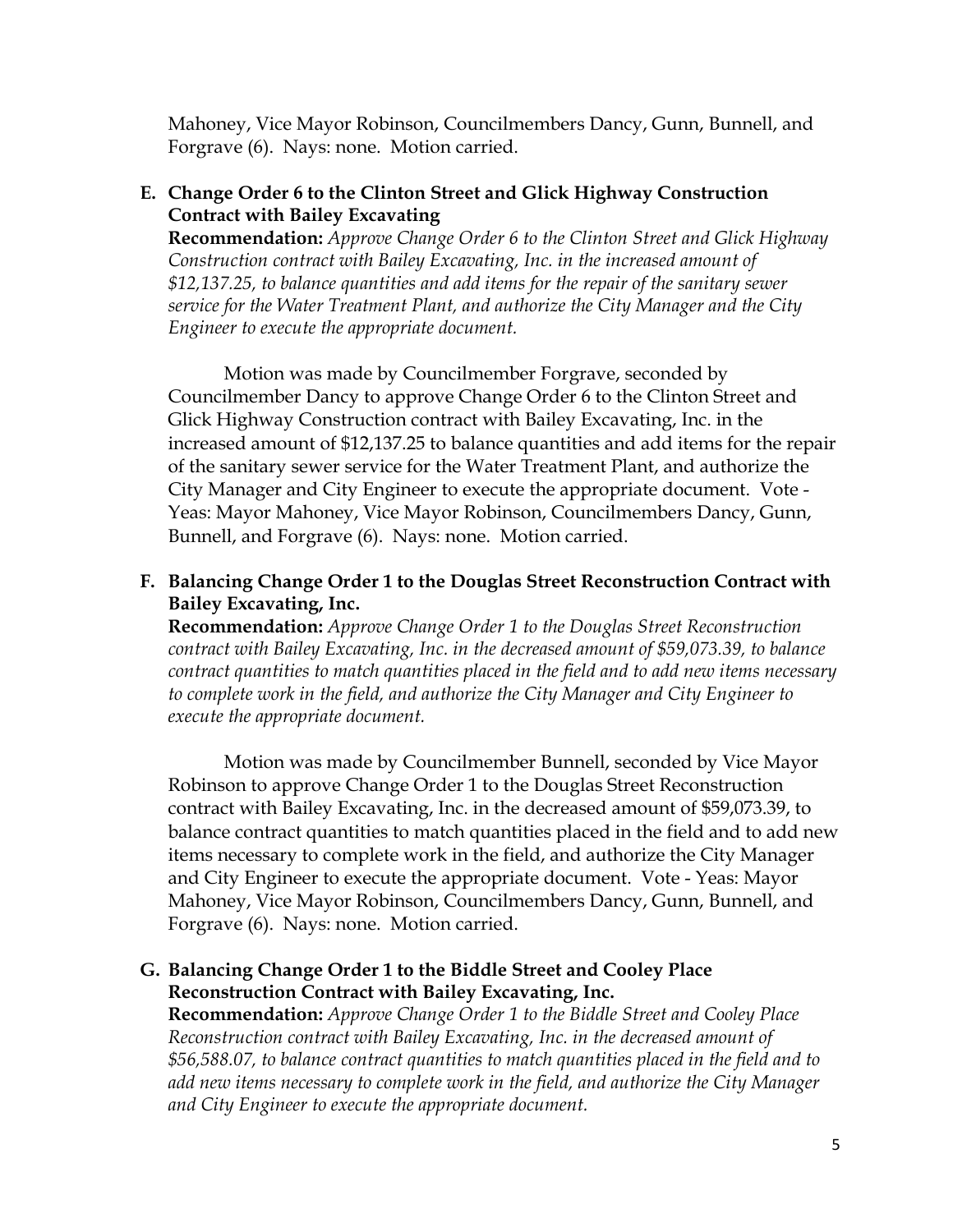Mahoney, Vice Mayor Robinson, Councilmembers Dancy, Gunn, Bunnell, and Forgrave (6). Nays: none. Motion carried.

# **E. Change Order 6 to the Clinton Street and Glick Highway Construction Contract with Bailey Excavating**

**Recommendation:** *Approve Change Order 6 to the Clinton Street and Glick Highway Construction contract with Bailey Excavating, Inc. in the increased amount of \$12,137.25, to balance quantities and add items for the repair of the sanitary sewer service for the Water Treatment Plant, and authorize the City Manager and the City Engineer to execute the appropriate document.* 

Motion was made by Councilmember Forgrave, seconded by Councilmember Dancy to approve Change Order 6 to the Clinton Street and Glick Highway Construction contract with Bailey Excavating, Inc. in the increased amount of \$12,137.25 to balance quantities and add items for the repair of the sanitary sewer service for the Water Treatment Plant, and authorize the City Manager and City Engineer to execute the appropriate document. Vote - Yeas: Mayor Mahoney, Vice Mayor Robinson, Councilmembers Dancy, Gunn, Bunnell, and Forgrave (6). Nays: none. Motion carried.

## **F. Balancing Change Order 1 to the Douglas Street Reconstruction Contract with Bailey Excavating, Inc.**

**Recommendation:** *Approve Change Order 1 to the Douglas Street Reconstruction contract with Bailey Excavating, Inc. in the decreased amount of \$59,073.39, to balance contract quantities to match quantities placed in the field and to add new items necessary to complete work in the field, and authorize the City Manager and City Engineer to execute the appropriate document.* 

Motion was made by Councilmember Bunnell, seconded by Vice Mayor Robinson to approve Change Order 1 to the Douglas Street Reconstruction contract with Bailey Excavating, Inc. in the decreased amount of \$59,073.39, to balance contract quantities to match quantities placed in the field and to add new items necessary to complete work in the field, and authorize the City Manager and City Engineer to execute the appropriate document. Vote - Yeas: Mayor Mahoney, Vice Mayor Robinson, Councilmembers Dancy, Gunn, Bunnell, and Forgrave (6). Nays: none. Motion carried.

# **G. Balancing Change Order 1 to the Biddle Street and Cooley Place Reconstruction Contract with Bailey Excavating, Inc.**

**Recommendation:** *Approve Change Order 1 to the Biddle Street and Cooley Place Reconstruction contract with Bailey Excavating, Inc. in the decreased amount of \$56,588.07, to balance contract quantities to match quantities placed in the field and to add new items necessary to complete work in the field, and authorize the City Manager and City Engineer to execute the appropriate document.*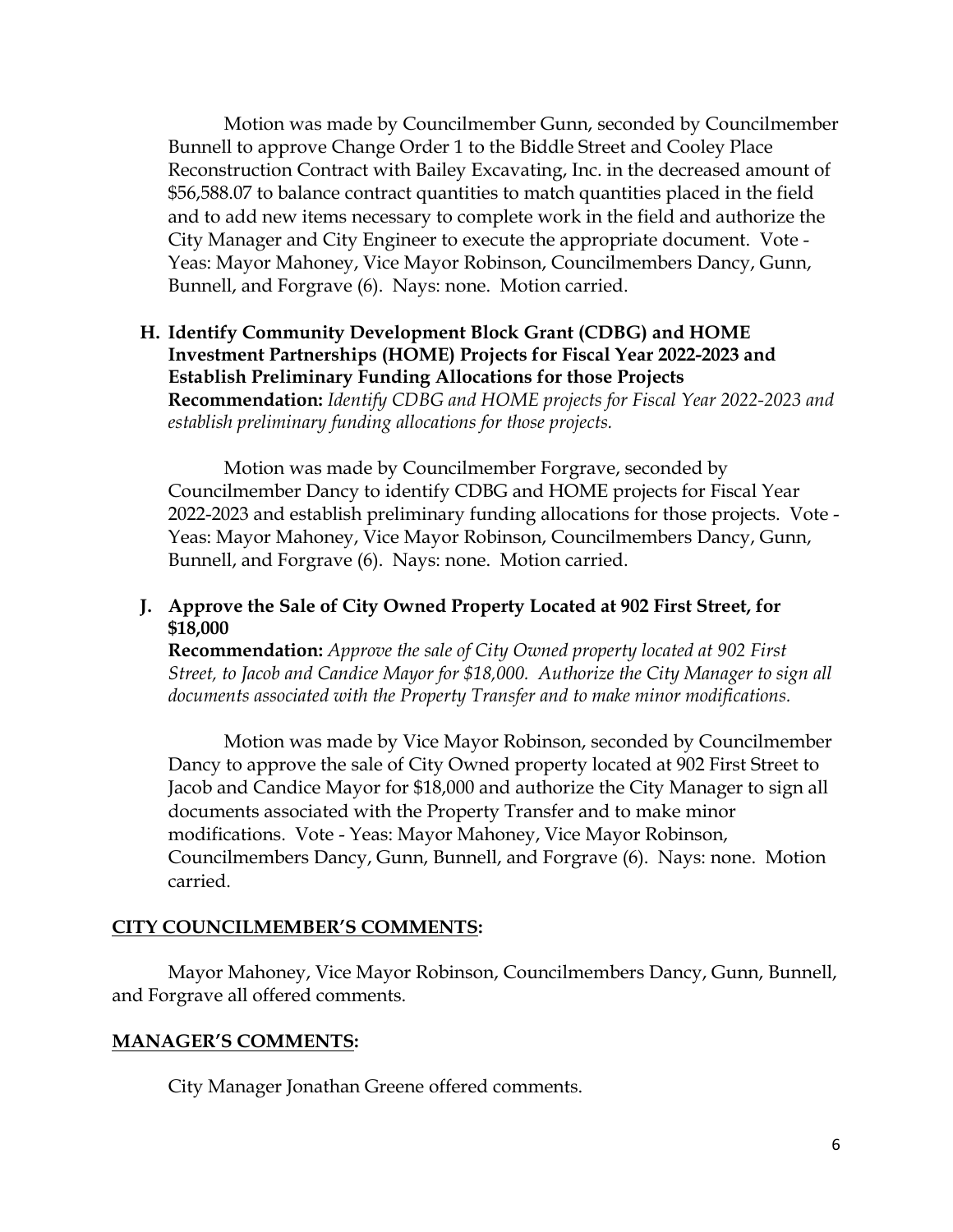Motion was made by Councilmember Gunn, seconded by Councilmember Bunnell to approve Change Order 1 to the Biddle Street and Cooley Place Reconstruction Contract with Bailey Excavating, Inc. in the decreased amount of \$56,588.07 to balance contract quantities to match quantities placed in the field and to add new items necessary to complete work in the field and authorize the City Manager and City Engineer to execute the appropriate document. Vote - Yeas: Mayor Mahoney, Vice Mayor Robinson, Councilmembers Dancy, Gunn, Bunnell, and Forgrave (6). Nays: none. Motion carried.

## **H. Identify Community Development Block Grant (CDBG) and HOME Investment Partnerships (HOME) Projects for Fiscal Year 2022-2023 and Establish Preliminary Funding Allocations for those Projects Recommendation:** *Identify CDBG and HOME projects for Fiscal Year 2022-2023 and establish preliminary funding allocations for those projects.*

Motion was made by Councilmember Forgrave, seconded by Councilmember Dancy to identify CDBG and HOME projects for Fiscal Year 2022-2023 and establish preliminary funding allocations for those projects. Vote - Yeas: Mayor Mahoney, Vice Mayor Robinson, Councilmembers Dancy, Gunn, Bunnell, and Forgrave (6). Nays: none. Motion carried.

# **J. Approve the Sale of City Owned Property Located at 902 First Street, for \$18,000**

**Recommendation:** *Approve the sale of City Owned property located at 902 First Street, to Jacob and Candice Mayor for \$18,000. Authorize the City Manager to sign all documents associated with the Property Transfer and to make minor modifications.* 

Motion was made by Vice Mayor Robinson, seconded by Councilmember Dancy to approve the sale of City Owned property located at 902 First Street to Jacob and Candice Mayor for \$18,000 and authorize the City Manager to sign all documents associated with the Property Transfer and to make minor modifications. Vote - Yeas: Mayor Mahoney, Vice Mayor Robinson, Councilmembers Dancy, Gunn, Bunnell, and Forgrave (6). Nays: none. Motion carried.

#### **CITY COUNCILMEMBER'S COMMENTS:**

Mayor Mahoney, Vice Mayor Robinson, Councilmembers Dancy, Gunn, Bunnell, and Forgrave all offered comments.

#### **MANAGER'S COMMENTS:**

City Manager Jonathan Greene offered comments.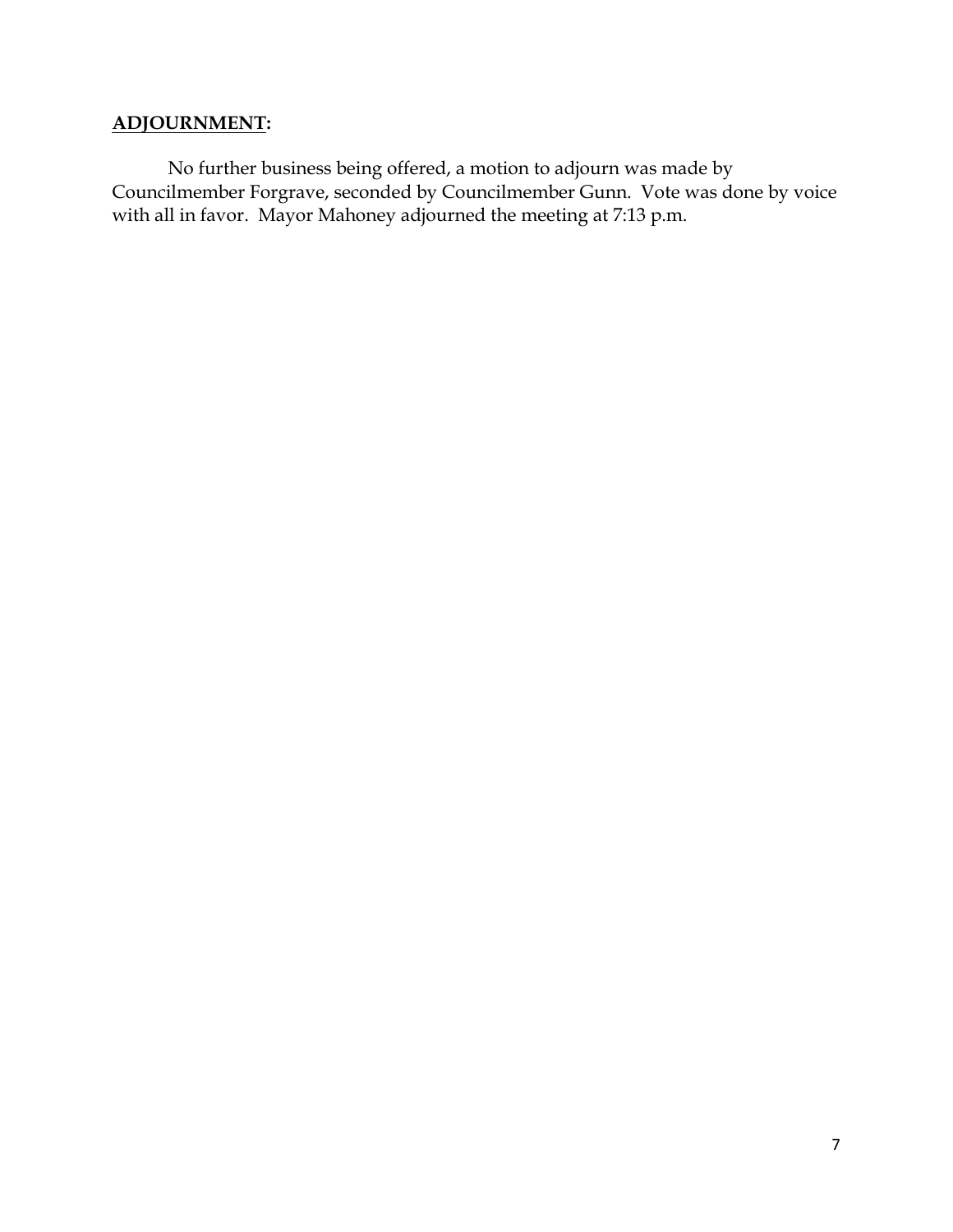# **ADJOURNMENT:**

No further business being offered, a motion to adjourn was made by Councilmember Forgrave, seconded by Councilmember Gunn. Vote was done by voice with all in favor. Mayor Mahoney adjourned the meeting at 7:13 p.m.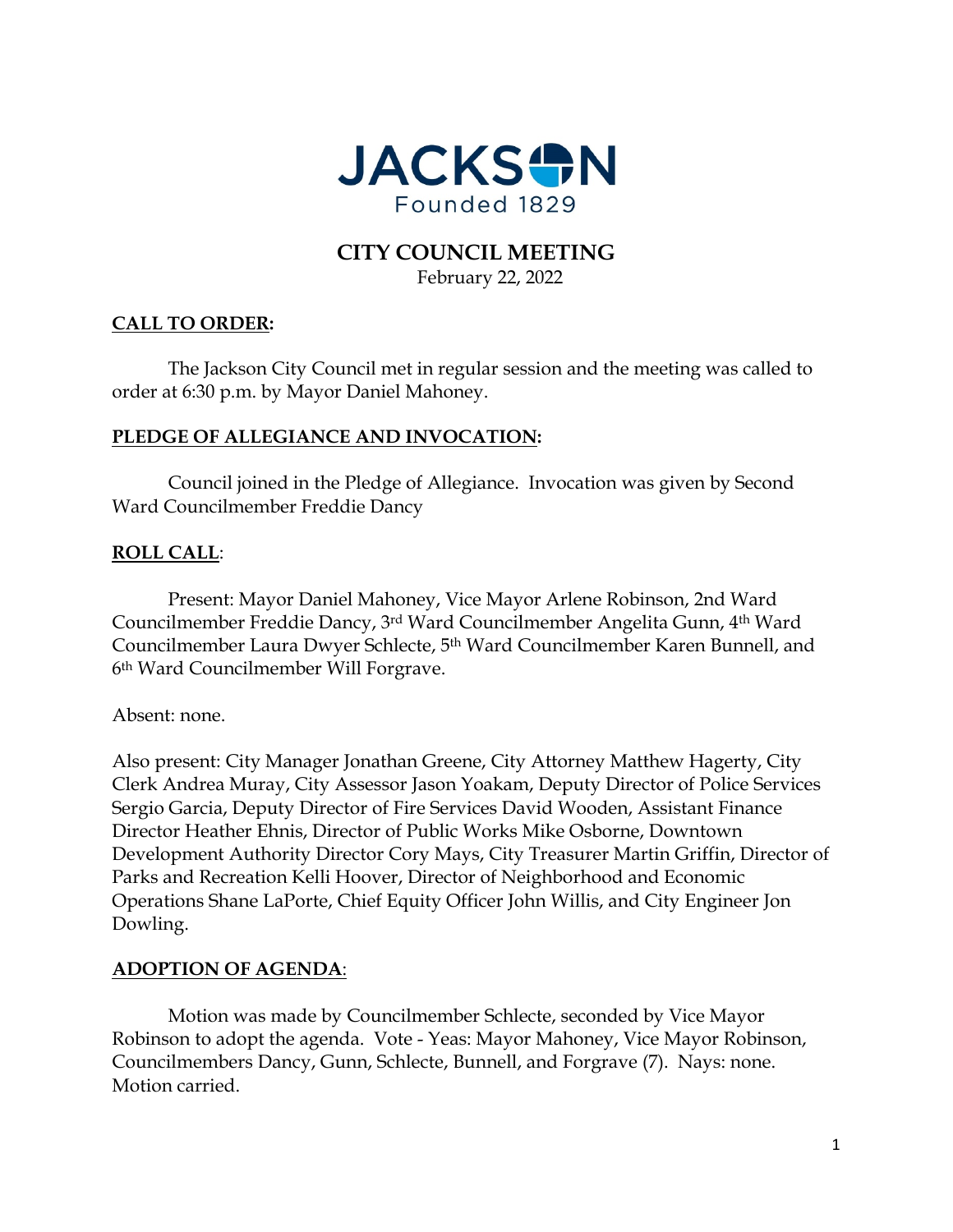

# **CITY COUNCIL MEETING** February 22, 2022

# **CALL TO ORDER:**

The Jackson City Council met in regular session and the meeting was called to order at 6:30 p.m. by Mayor Daniel Mahoney.

# **PLEDGE OF ALLEGIANCE AND INVOCATION:**

Council joined in the Pledge of Allegiance. Invocation was given by Second Ward Councilmember Freddie Dancy

# **ROLL CALL**:

Present: Mayor Daniel Mahoney, Vice Mayor Arlene Robinson, 2nd Ward Councilmember Freddie Dancy, 3rd Ward Councilmember Angelita Gunn, 4th Ward Councilmember Laura Dwyer Schlecte, 5th Ward Councilmember Karen Bunnell, and 6th Ward Councilmember Will Forgrave.

Absent: none.

Also present: City Manager Jonathan Greene, City Attorney Matthew Hagerty, City Clerk Andrea Muray, City Assessor Jason Yoakam, Deputy Director of Police Services Sergio Garcia, Deputy Director of Fire Services David Wooden, Assistant Finance Director Heather Ehnis, Director of Public Works Mike Osborne, Downtown Development Authority Director Cory Mays, City Treasurer Martin Griffin, Director of Parks and Recreation Kelli Hoover, Director of Neighborhood and Economic Operations Shane LaPorte, Chief Equity Officer John Willis, and City Engineer Jon Dowling.

# **ADOPTION OF AGENDA**:

Motion was made by Councilmember Schlecte, seconded by Vice Mayor Robinson to adopt the agenda. Vote - Yeas: Mayor Mahoney, Vice Mayor Robinson, Councilmembers Dancy, Gunn, Schlecte, Bunnell, and Forgrave (7). Nays: none. Motion carried.